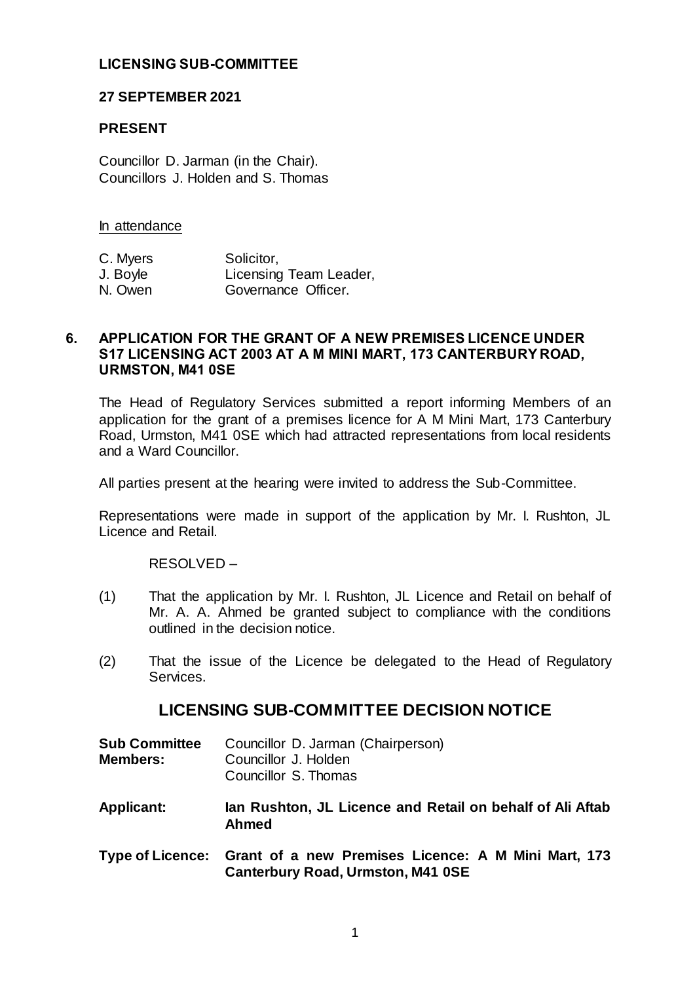## **LICENSING SUB-COMMITTEE**

### **27 SEPTEMBER 2021**

### **PRESENT**

Councillor D. Jarman (in the Chair). Councillors J. Holden and S. Thomas

#### In attendance

| C. Myers | Solicitor,             |
|----------|------------------------|
| J. Boyle | Licensing Team Leader, |
| N. Owen  | Governance Officer.    |

### **6. APPLICATION FOR THE GRANT OF A NEW PREMISES LICENCE UNDER S17 LICENSING ACT 2003 AT A M MINI MART, 173 CANTERBURY ROAD, URMSTON, M41 0SE**

The Head of Regulatory Services submitted a report informing Members of an application for the grant of a premises licence for A M Mini Mart, 173 Canterbury Road, Urmston, M41 0SE which had attracted representations from local residents and a Ward Councillor.

All parties present at the hearing were invited to address the Sub-Committee.

Representations were made in support of the application by Mr. I. Rushton, JL Licence and Retail.

RESOLVED –

- (1) That the application by Mr. I. Rushton, JL Licence and Retail on behalf of Mr. A. A. Ahmed be granted subject to compliance with the conditions outlined in the decision notice.
- (2) That the issue of the Licence be delegated to the Head of Regulatory Services.

# **LICENSING SUB-COMMITTEE DECISION NOTICE**

| <b>Sub Committee</b> | Councillor D. Jarman (Chairperson) |
|----------------------|------------------------------------|
| <b>Members:</b>      | Councillor J. Holden               |
|                      | Councillor S. Thomas               |

- **Applicant: Ian Rushton, JL Licence and Retail on behalf of Ali Aftab Ahmed**
- **Type of Licence: Grant of a new Premises Licence: A M Mini Mart, 173 Canterbury Road, Urmston, M41 0SE**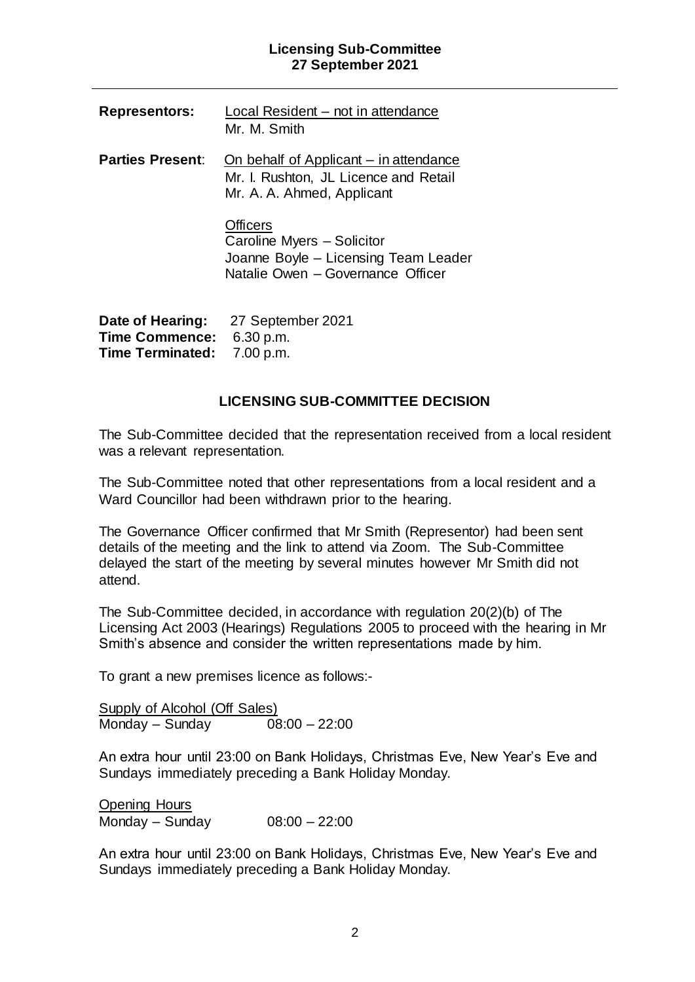### **Licensing Sub-Committee 27 September 2021**

| <b>Representors:</b>                                                 | Local Resident – not in attendance<br>Mr. M. Smith                                                                  |
|----------------------------------------------------------------------|---------------------------------------------------------------------------------------------------------------------|
| <b>Parties Present:</b>                                              | On behalf of Applicant – in attendance<br>Mr. I. Rushton, JL Licence and Retail<br>Mr. A. A. Ahmed, Applicant       |
|                                                                      | Officers<br>Caroline Myers - Solicitor<br>Joanne Boyle – Licensing Team Leader<br>Natalie Owen - Governance Officer |
| Date of Hearing:<br><b>Time Commence:</b><br><b>Time Terminated:</b> | 27 September 2021<br>6.30 p.m.<br>7.00 p.m.                                                                         |

## **LICENSING SUB-COMMITTEE DECISION**

The Sub-Committee decided that the representation received from a local resident was a relevant representation.

The Sub-Committee noted that other representations from a local resident and a Ward Councillor had been withdrawn prior to the hearing.

The Governance Officer confirmed that Mr Smith (Representor) had been sent details of the meeting and the link to attend via Zoom. The Sub-Committee delayed the start of the meeting by several minutes however Mr Smith did not attend.

The Sub-Committee decided, in accordance with regulation 20(2)(b) of The Licensing Act 2003 (Hearings) Regulations 2005 to proceed with the hearing in Mr Smith's absence and consider the written representations made by him.

To grant a new premises licence as follows:-

Supply of Alcohol (Off Sales) Monday – Sunday  $08:00 - 22:00$ 

An extra hour until 23:00 on Bank Holidays, Christmas Eve, New Year's Eve and Sundays immediately preceding a Bank Holiday Monday.

Opening Hours Monday – Sunday  $08:00 - 22:00$ 

An extra hour until 23:00 on Bank Holidays, Christmas Eve, New Year's Eve and Sundays immediately preceding a Bank Holiday Monday.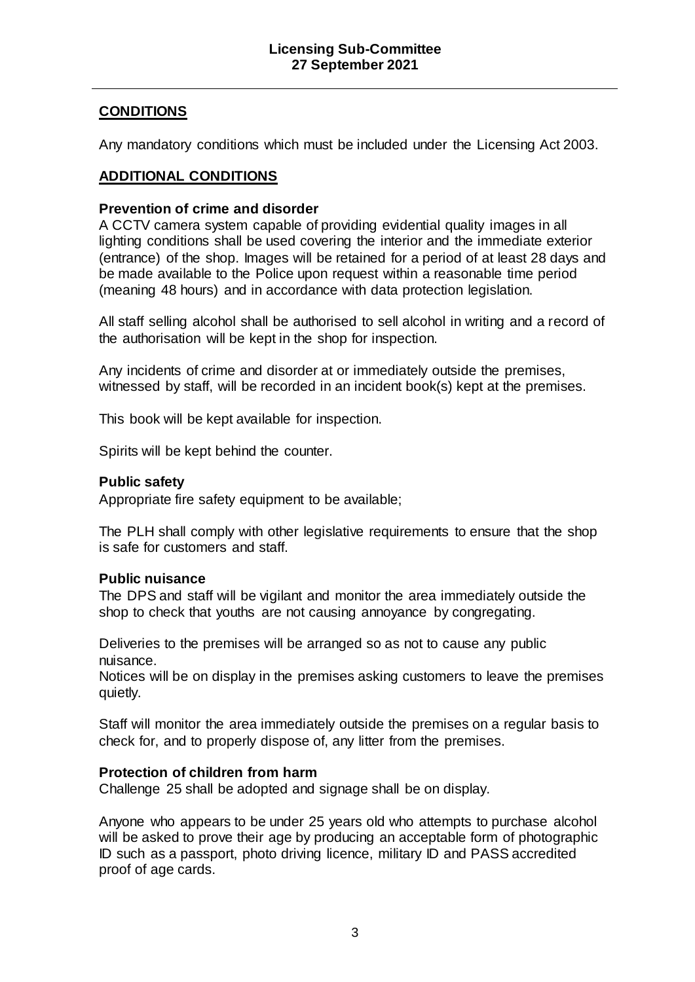# **CONDITIONS**

Any mandatory conditions which must be included under the Licensing Act 2003.

## **ADDITIONAL CONDITIONS**

## **Prevention of crime and disorder**

A CCTV camera system capable of providing evidential quality images in all lighting conditions shall be used covering the interior and the immediate exterior (entrance) of the shop. Images will be retained for a period of at least 28 days and be made available to the Police upon request within a reasonable time period (meaning 48 hours) and in accordance with data protection legislation.

All staff selling alcohol shall be authorised to sell alcohol in writing and a record of the authorisation will be kept in the shop for inspection.

Any incidents of crime and disorder at or immediately outside the premises, witnessed by staff, will be recorded in an incident book(s) kept at the premises.

This book will be kept available for inspection.

Spirits will be kept behind the counter.

## **Public safety**

Appropriate fire safety equipment to be available;

The PLH shall comply with other legislative requirements to ensure that the shop is safe for customers and staff.

## **Public nuisance**

The DPS and staff will be vigilant and monitor the area immediately outside the shop to check that youths are not causing annoyance by congregating.

Deliveries to the premises will be arranged so as not to cause any public nuisance.

Notices will be on display in the premises asking customers to leave the premises quietly.

Staff will monitor the area immediately outside the premises on a regular basis to check for, and to properly dispose of, any litter from the premises.

## **Protection of children from harm**

Challenge 25 shall be adopted and signage shall be on display.

Anyone who appears to be under 25 years old who attempts to purchase alcohol will be asked to prove their age by producing an acceptable form of photographic ID such as a passport, photo driving licence, military ID and PASS accredited proof of age cards.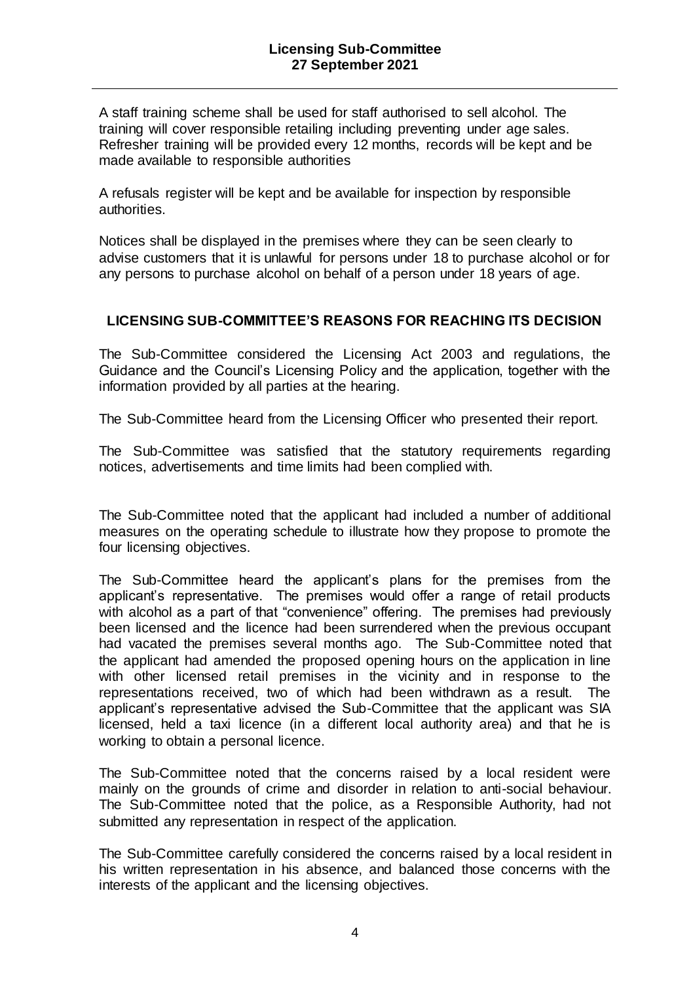A staff training scheme shall be used for staff authorised to sell alcohol. The training will cover responsible retailing including preventing under age sales. Refresher training will be provided every 12 months, records will be kept and be made available to responsible authorities

A refusals register will be kept and be available for inspection by responsible authorities.

Notices shall be displayed in the premises where they can be seen clearly to advise customers that it is unlawful for persons under 18 to purchase alcohol or for any persons to purchase alcohol on behalf of a person under 18 years of age.

## **LICENSING SUB-COMMITTEE'S REASONS FOR REACHING ITS DECISION**

The Sub-Committee considered the Licensing Act 2003 and regulations, the Guidance and the Council's Licensing Policy and the application, together with the information provided by all parties at the hearing.

The Sub-Committee heard from the Licensing Officer who presented their report.

The Sub-Committee was satisfied that the statutory requirements regarding notices, advertisements and time limits had been complied with.

The Sub-Committee noted that the applicant had included a number of additional measures on the operating schedule to illustrate how they propose to promote the four licensing objectives.

The Sub-Committee heard the applicant's plans for the premises from the applicant's representative. The premises would offer a range of retail products with alcohol as a part of that "convenience" offering. The premises had previously been licensed and the licence had been surrendered when the previous occupant had vacated the premises several months ago. The Sub-Committee noted that the applicant had amended the proposed opening hours on the application in line with other licensed retail premises in the vicinity and in response to the representations received, two of which had been withdrawn as a result. The applicant's representative advised the Sub-Committee that the applicant was SIA licensed, held a taxi licence (in a different local authority area) and that he is working to obtain a personal licence.

The Sub-Committee noted that the concerns raised by a local resident were mainly on the grounds of crime and disorder in relation to anti-social behaviour. The Sub-Committee noted that the police, as a Responsible Authority, had not submitted any representation in respect of the application.

The Sub-Committee carefully considered the concerns raised by a local resident in his written representation in his absence, and balanced those concerns with the interests of the applicant and the licensing objectives.